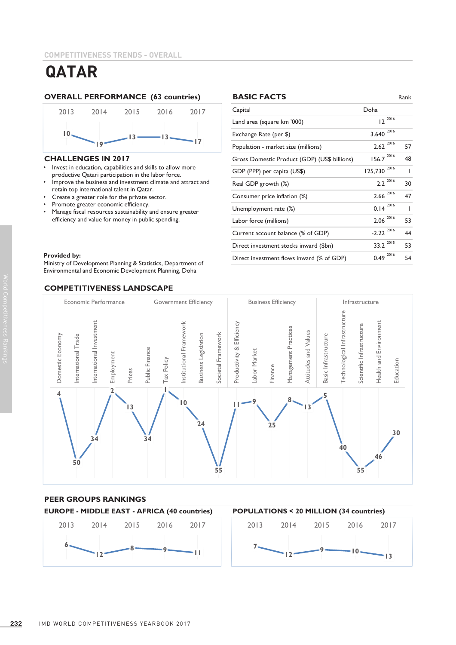

### **CHALLENGES IN 2017**

- Invest in education, capabilities and skills to allow more productive productive Qatari participation in the labor force. • Invest in education, capabilities and skills to allow more
- Improve the business and investment climate and attract and retain top international talent in Qatar.
- Create a greater role for the private sector.
- Promote greater economic efficiency.
- Manage fiscal resources sustainability and ensure greater efficiency and value for money in public spending.

### $\blacksquare$  Provided by: **Provided by:**

Environmental and Economic Development Planning, Doha Environmental and Economic Development Planning, Doha Ministry of Development Planning & Statistics, Department of

### **COMPETITIVENESS LANDSCAPE**





### **PEER GROUPS RANKINGS**



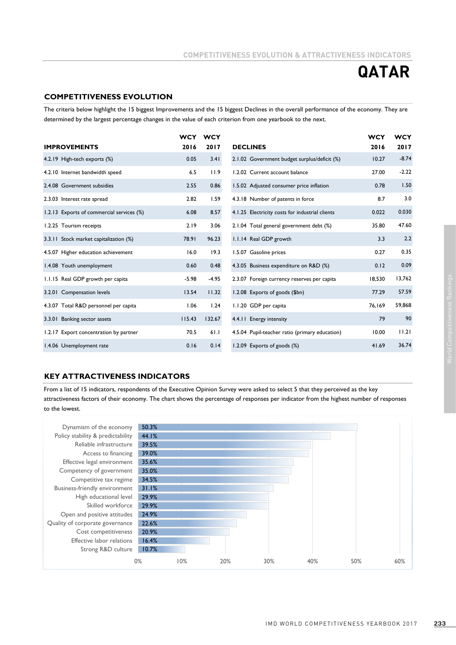### **COMPETITIVENESS EVOLUTION**

The criteria below highlight the 15 biggest Improvements and the 15 biggest Declines in the overall performance of the economy. They are determined by the largest percentage changes in the value of each criterion from one yearbook to the next.

|                                           | <b>WCY</b> | <b>WCY</b> |                                                 | <b>WCY</b> | <b>WCY</b> |
|-------------------------------------------|------------|------------|-------------------------------------------------|------------|------------|
| <b>IMPROVEMENTS</b>                       | 2016       | 2017       | <b>DECLINES</b>                                 | 2016       | 2017       |
| 4.2.19 High-tech exports (%)              | 0.05       | 3.41       | 2.1.02 Government budget surplus/deficit (%)    | 10.27      | $-8.74$    |
| 4.2.10 Internet bandwidth speed           | 6.5        | 11.9       | 1.2.02 Current account balance                  | 27.00      | $-2.22$    |
| 2.4.08 Government subsidies               | 2.55       | 0.86       | 1.5.02 Adjusted consumer price inflation        | 0.78       | 1.50       |
| 2.3.03 Interest rate spread               | 2.82       | 1.59       | 4.3.18 Number of patents in force               | 8.7        | 3.0        |
| 1.2.13 Exports of commercial services (%) | 6.08       | 8.57       | 4.1.25 Electricity costs for industrial clients | 0.022      | 0.030      |
| 1.2.25 Tourism receipts                   | 2.19       | 3.06       | 2.1.04 Total general government debt (%)        | 35.80      | 47.60      |
| 3.3.11 Stock market capitalization (%)    | 78.91      | 96.23      | 1.1.14 Real GDP growth                          | 3.3        | 2.2        |
| 4.5.07 Higher education achievement       | 16.0       | 19.3       | 1.5.07 Gasoline prices                          | 0.27       | 0.35       |
| 1.4.08 Youth unemployment                 | 0.60       | 0.48       | 4.3.05 Business expenditure on R&D (%)          | 0.12       | 0.09       |
| 1.1.15 Real GDP growth per capita         | $-5.98$    | $-4.95$    | 2.3.07 Foreign currency reserves per capita     | 18,530     | 13,762     |
| 3.2.01 Compensation levels                | 13.54      | 11.32      | 1.2.08 Exports of goods (\$bn)                  | 77.29      | 57.59      |
| 4.3.07 Total R&D personnel per capita     | 1.06       | 1.24       | 1.1.20 GDP per capita                           | 76,169     | 59,868     |
| 3.3.01 Banking sector assets              | 115.43     | 132.67     | 4.4.11 Energy intensity                         | 79         | 90         |
| 1.2.17 Export concentration by partner    | 70.5       | 61.1       | 4.5.04 Pupil-teacher ratio (primary education)  | 10.00      | 11.21      |
| 1.4.06 Unemployment rate                  | 0.16       | 0.14       | 1.2.09 Exports of goods (%)                     | 41.69      | 36.74      |

### **KEY ATTRACTIVENESS INDICATORS**

From a list of 15 indicators, respondents of the Executive Opinion Survey were asked to select 5 that they perceived as the key attractiveness factors of their economy. The chart shows the percentage of responses per indicator from the highest number of responses to the lowest.

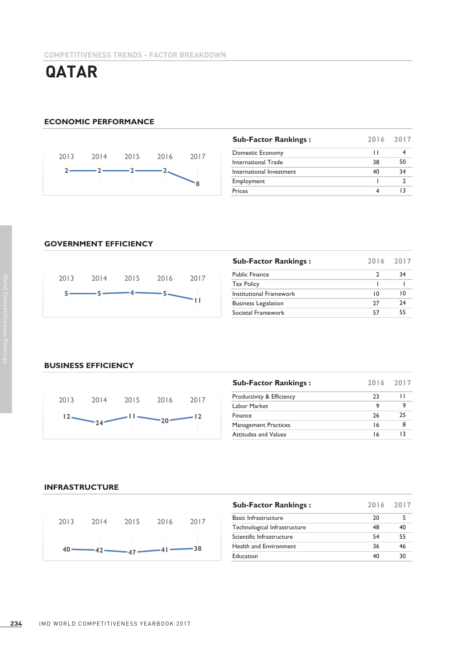### **ECONOMIC PERFORMANCE**



| <b>Sub-Factor Rankings:</b> | 2016 2017 |    |
|-----------------------------|-----------|----|
| Domestic Economy            | ш         |    |
| International Trade         | 38        | 50 |
| International Investment    | 40        | 34 |
| Employment                  |           |    |
| Prices                      |           |    |

### **GOVERNMENT EFFICIENCY**



| <b>Sub-Factor Rankings:</b> | 2016 2017 |    |
|-----------------------------|-----------|----|
| <b>Public Finance</b>       |           | 34 |
| <b>Tax Policy</b>           |           |    |
| Institutional Framework     | 10        | 10 |
| <b>Business Legislation</b> | 77        | 74 |
| Societal Framework          | 57        | 55 |

### **BUSINESS EFFICIENCY**



| <b>Sub-Factor Rankings:</b> | 2016 2017 |    |
|-----------------------------|-----------|----|
| Productivity & Efficiency   | 23        | н  |
| Labor Market                | 9         |    |
| Finance                     | 26        | 25 |
| <b>Management Practices</b> | 16        |    |
| <b>Attitudes and Values</b> | 16        | 13 |

### **INFRASTRUCTURE**



| <b>Sub-Factor Rankings:</b>  | 2016 2017 |    |
|------------------------------|-----------|----|
| <b>Basic Infrastructure</b>  | 20        |    |
| Technological Infrastructure | 48        | 40 |
| Scientific Infrastructure    | 54        | 55 |
| Health and Environment       | 36        | 46 |
| Education                    | 40        | 30 |